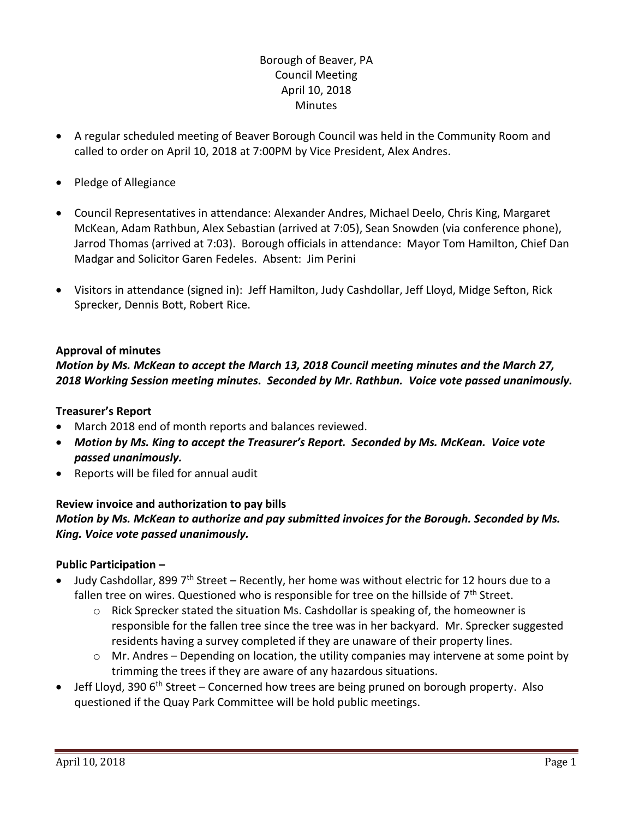## Borough of Beaver, PA Council Meeting April 10, 2018 **Minutes**

- A regular scheduled meeting of Beaver Borough Council was held in the Community Room and called to order on April 10, 2018 at 7:00PM by Vice President, Alex Andres.
- Pledge of Allegiance
- Council Representatives in attendance: Alexander Andres, Michael Deelo, Chris King, Margaret McKean, Adam Rathbun, Alex Sebastian (arrived at 7:05), Sean Snowden (via conference phone), Jarrod Thomas (arrived at 7:03). Borough officials in attendance: Mayor Tom Hamilton, Chief Dan Madgar and Solicitor Garen Fedeles. Absent: Jim Perini
- Visitors in attendance (signed in): Jeff Hamilton, Judy Cashdollar, Jeff Lloyd, Midge Sefton, Rick Sprecker, Dennis Bott, Robert Rice.

### **Approval of minutes**

### *Motion by Ms. McKean to accept the March 13, 2018 Council meeting minutes and the March 27, 2018 Working Session meeting minutes. Seconded by Mr. Rathbun. Voice vote passed unanimously.*

### **Treasurer's Report**

- March 2018 end of month reports and balances reviewed.
- *Motion by Ms. King to accept the Treasurer's Report. Seconded by Ms. McKean. Voice vote passed unanimously.*
- Reports will be filed for annual audit

### **Review invoice and authorization to pay bills** *Motion by Ms. McKean to authorize and pay submitted invoices for the Borough. Seconded by Ms. King. Voice vote passed unanimously.*

### **Public Participation –**

- Judy Cashdollar, 899 7<sup>th</sup> Street Recently, her home was without electric for 12 hours due to a fallen tree on wires. Questioned who is responsible for tree on the hillside of  $7<sup>th</sup>$  Street.
	- $\circ$  Rick Sprecker stated the situation Ms. Cashdollar is speaking of, the homeowner is responsible for the fallen tree since the tree was in her backyard. Mr. Sprecker suggested residents having a survey completed if they are unaware of their property lines.
	- o Mr. Andres Depending on location, the utility companies may intervene at some point by trimming the trees if they are aware of any hazardous situations.
- Jeff Lloyd, 390 6<sup>th</sup> Street Concerned how trees are being pruned on borough property. Also questioned if the Quay Park Committee will be hold public meetings.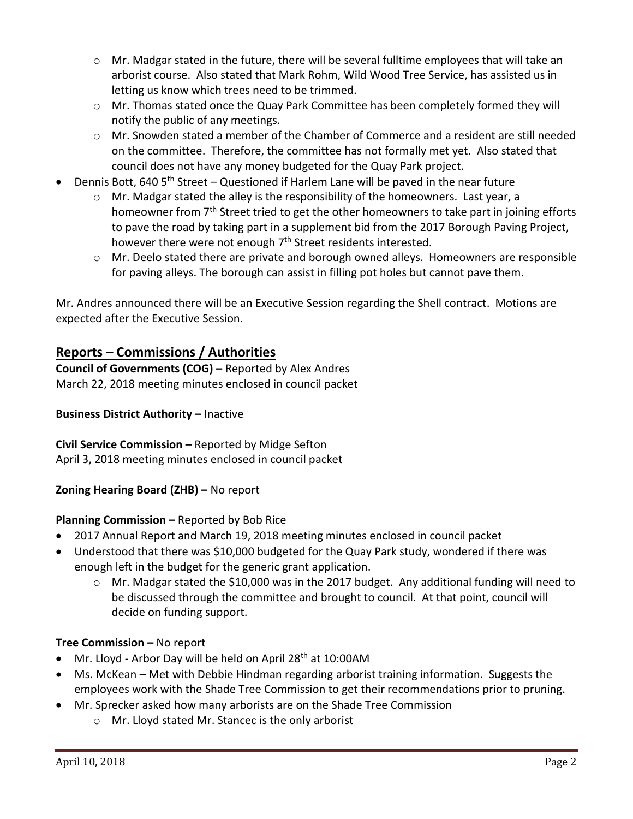- $\circ$  Mr. Madgar stated in the future, there will be several fulltime employees that will take an arborist course. Also stated that Mark Rohm, Wild Wood Tree Service, has assisted us in letting us know which trees need to be trimmed.
- o Mr. Thomas stated once the Quay Park Committee has been completely formed they will notify the public of any meetings.
- o Mr. Snowden stated a member of the Chamber of Commerce and a resident are still needed on the committee. Therefore, the committee has not formally met yet. Also stated that council does not have any money budgeted for the Quay Park project.
- Dennis Bott, 640 5<sup>th</sup> Street Questioned if Harlem Lane will be paved in the near future
	- o Mr. Madgar stated the alley is the responsibility of the homeowners. Last year, a homeowner from 7<sup>th</sup> Street tried to get the other homeowners to take part in joining efforts to pave the road by taking part in a supplement bid from the 2017 Borough Paving Project, however there were not enough 7<sup>th</sup> Street residents interested.
	- $\circ$  Mr. Deelo stated there are private and borough owned alleys. Homeowners are responsible for paving alleys. The borough can assist in filling pot holes but cannot pave them.

Mr. Andres announced there will be an Executive Session regarding the Shell contract. Motions are expected after the Executive Session.

# **Reports – Commissions / Authorities**

**Council of Governments (COG) –** Reported by Alex Andres March 22, 2018 meeting minutes enclosed in council packet

## **Business District Authority – Inactive**

**Civil Service Commission –** Reported by Midge Sefton April 3, 2018 meeting minutes enclosed in council packet

## **Zoning Hearing Board (ZHB) –** No report

### **Planning Commission –** Reported by Bob Rice

- 2017 Annual Report and March 19, 2018 meeting minutes enclosed in council packet
- Understood that there was \$10,000 budgeted for the Quay Park study, wondered if there was enough left in the budget for the generic grant application.
	- $\circ$  Mr. Madgar stated the \$10,000 was in the 2017 budget. Any additional funding will need to be discussed through the committee and brought to council. At that point, council will decide on funding support.

### **Tree Commission –** No report

- Mr. Lloyd Arbor Day will be held on April  $28<sup>th</sup>$  at  $10:00$ AM
- Ms. McKean Met with Debbie Hindman regarding arborist training information. Suggests the employees work with the Shade Tree Commission to get their recommendations prior to pruning.
- Mr. Sprecker asked how many arborists are on the Shade Tree Commission
	- o Mr. Lloyd stated Mr. Stancec is the only arborist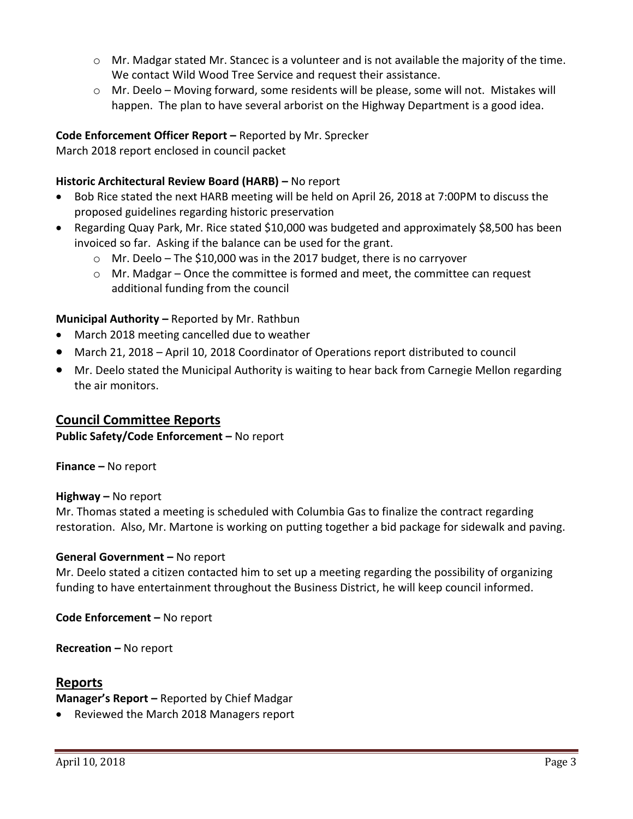- $\circ$  Mr. Madgar stated Mr. Stancec is a volunteer and is not available the majority of the time. We contact Wild Wood Tree Service and request their assistance.
- $\circ$  Mr. Deelo Moving forward, some residents will be please, some will not. Mistakes will happen. The plan to have several arborist on the Highway Department is a good idea.

### **Code Enforcement Officer Report –** Reported by Mr. Sprecker

March 2018 report enclosed in council packet

## **Historic Architectural Review Board (HARB) –** No report

- Bob Rice stated the next HARB meeting will be held on April 26, 2018 at 7:00PM to discuss the proposed guidelines regarding historic preservation
- Regarding Quay Park, Mr. Rice stated \$10,000 was budgeted and approximately \$8,500 has been invoiced so far. Asking if the balance can be used for the grant.
	- o Mr. Deelo The \$10,000 was in the 2017 budget, there is no carryover
	- $\circ$  Mr. Madgar Once the committee is formed and meet, the committee can request additional funding from the council

## **Municipal Authority –** Reported by Mr. Rathbun

- March 2018 meeting cancelled due to weather
- March 21, 2018 April 10, 2018 Coordinator of Operations report distributed to council
- Mr. Deelo stated the Municipal Authority is waiting to hear back from Carnegie Mellon regarding the air monitors.

## **Council Committee Reports**

**Public Safety/Code Enforcement –** No report

**Finance –** No report

### **Highway –** No report

Mr. Thomas stated a meeting is scheduled with Columbia Gas to finalize the contract regarding restoration. Also, Mr. Martone is working on putting together a bid package for sidewalk and paving.

### **General Government –** No report

Mr. Deelo stated a citizen contacted him to set up a meeting regarding the possibility of organizing funding to have entertainment throughout the Business District, he will keep council informed.

**Code Enforcement –** No report

**Recreation –** No report

### **Reports**

**Manager's Report –** Reported by Chief Madgar

• Reviewed the March 2018 Managers report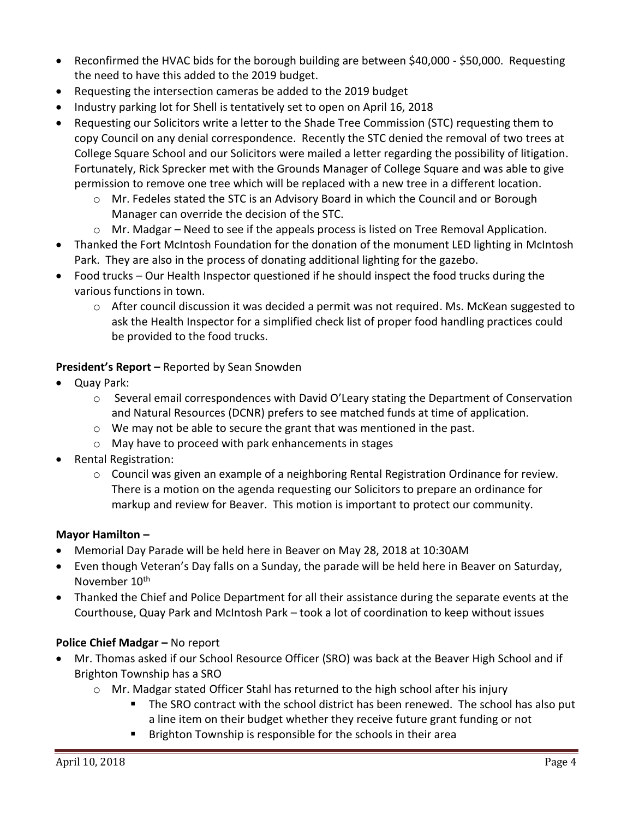- Reconfirmed the HVAC bids for the borough building are between \$40,000 \$50,000. Requesting the need to have this added to the 2019 budget.
- Requesting the intersection cameras be added to the 2019 budget
- Industry parking lot for Shell is tentatively set to open on April 16, 2018
- Requesting our Solicitors write a letter to the Shade Tree Commission (STC) requesting them to copy Council on any denial correspondence. Recently the STC denied the removal of two trees at College Square School and our Solicitors were mailed a letter regarding the possibility of litigation. Fortunately, Rick Sprecker met with the Grounds Manager of College Square and was able to give permission to remove one tree which will be replaced with a new tree in a different location.
	- o Mr. Fedeles stated the STC is an Advisory Board in which the Council and or Borough Manager can override the decision of the STC.
	- $\circ$  Mr. Madgar Need to see if the appeals process is listed on Tree Removal Application.
- Thanked the Fort McIntosh Foundation for the donation of the monument LED lighting in McIntosh Park. They are also in the process of donating additional lighting for the gazebo.
- Food trucks Our Health Inspector questioned if he should inspect the food trucks during the various functions in town.
	- o After council discussion it was decided a permit was not required. Ms. McKean suggested to ask the Health Inspector for a simplified check list of proper food handling practices could be provided to the food trucks.

**President's Report –** Reported by Sean Snowden

- Quay Park:
	- o Several email correspondences with David O'Leary stating the Department of Conservation and Natural Resources (DCNR) prefers to see matched funds at time of application.
	- $\circ$  We may not be able to secure the grant that was mentioned in the past.
	- o May have to proceed with park enhancements in stages
- Rental Registration:
	- o Council was given an example of a neighboring Rental Registration Ordinance for review. There is a motion on the agenda requesting our Solicitors to prepare an ordinance for markup and review for Beaver. This motion is important to protect our community.

### **Mayor Hamilton –**

- Memorial Day Parade will be held here in Beaver on May 28, 2018 at 10:30AM
- Even though Veteran's Day falls on a Sunday, the parade will be held here in Beaver on Saturday, November 10<sup>th</sup>
- Thanked the Chief and Police Department for all their assistance during the separate events at the Courthouse, Quay Park and McIntosh Park – took a lot of coordination to keep without issues

### **Police Chief Madgar – No report**

- Mr. Thomas asked if our School Resource Officer (SRO) was back at the Beaver High School and if Brighton Township has a SRO
	- $\circ$  Mr. Madgar stated Officer Stahl has returned to the high school after his injury
		- The SRO contract with the school district has been renewed. The school has also put a line item on their budget whether they receive future grant funding or not
		- **Brighton Township is responsible for the schools in their area**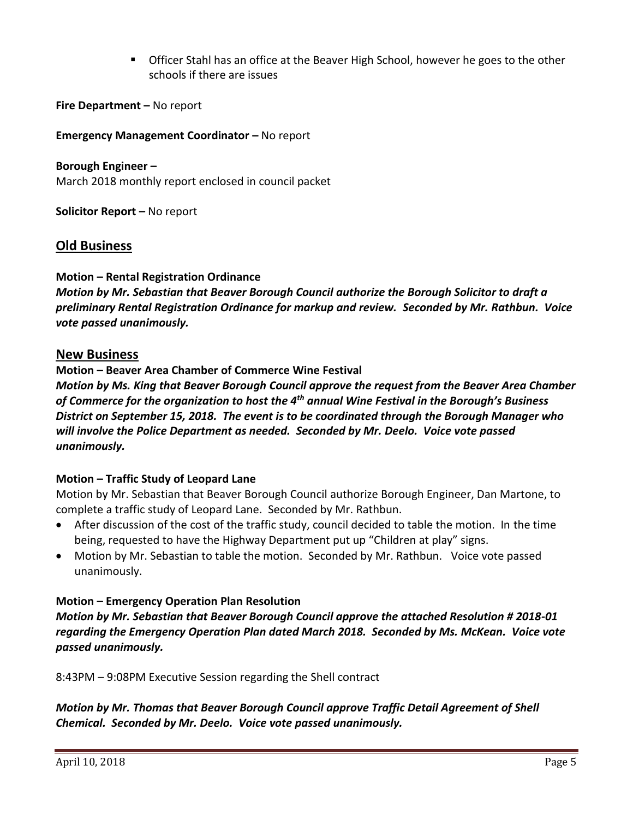Officer Stahl has an office at the Beaver High School, however he goes to the other schools if there are issues

**Fire Department –** No report

**Emergency Management Coordinator - No report** 

**Borough Engineer –** March 2018 monthly report enclosed in council packet

**Solicitor Report –** No report

## **Old Business**

### **Motion – Rental Registration Ordinance**

*Motion by Mr. Sebastian that Beaver Borough Council authorize the Borough Solicitor to draft a preliminary Rental Registration Ordinance for markup and review. Seconded by Mr. Rathbun. Voice vote passed unanimously.*

### **New Business**

### **Motion – Beaver Area Chamber of Commerce Wine Festival**

*Motion by Ms. King that Beaver Borough Council approve the request from the Beaver Area Chamber of Commerce for the organization to host the 4th annual Wine Festival in the Borough's Business District on September 15, 2018. The event is to be coordinated through the Borough Manager who will involve the Police Department as needed. Seconded by Mr. Deelo. Voice vote passed unanimously.*

### **Motion – Traffic Study of Leopard Lane**

Motion by Mr. Sebastian that Beaver Borough Council authorize Borough Engineer, Dan Martone, to complete a traffic study of Leopard Lane. Seconded by Mr. Rathbun.

- After discussion of the cost of the traffic study, council decided to table the motion. In the time being, requested to have the Highway Department put up "Children at play" signs.
- Motion by Mr. Sebastian to table the motion. Seconded by Mr. Rathbun. Voice vote passed unanimously.

### **Motion – Emergency Operation Plan Resolution**

*Motion by Mr. Sebastian that Beaver Borough Council approve the attached Resolution # 2018-01 regarding the Emergency Operation Plan dated March 2018. Seconded by Ms. McKean. Voice vote passed unanimously.*

8:43PM – 9:08PM Executive Session regarding the Shell contract

*Motion by Mr. Thomas that Beaver Borough Council approve Traffic Detail Agreement of Shell Chemical. Seconded by Mr. Deelo. Voice vote passed unanimously.*